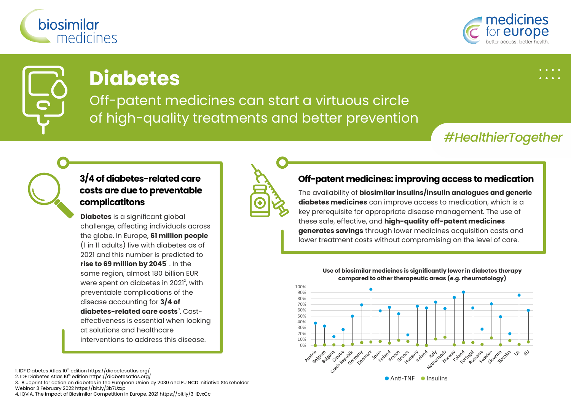



# **Diabetes**

Off-patent medicines can start a virtuous circle of high-quality treatments and better prevention

## *#HealthierTogether*

### **3/4 of diabetes-related care costs are due to preventable complicatitons**

**Diabetes** is a significant global challenge, affecting individuals across the globe. In Europe, **61 million people** (1 in 11 adults) live with diabetes as of 2021 and this number is predicted to **rise to 69 million by 2045**' . In the same region, almost 180 billion EUR were spent on diabetes in  $2021^2$ , with preventable complications of the disease accounting for **3/4 of diabetes-related care costs<sup>3</sup> Cost**effectiveness is essential when looking at solutions and healthcare interventions to address this disease.

1. IDF Diabetes Atlas 10<sup>th</sup> edition https://diabetesatlas.org/

2. IDF Diabetes Atlas 10<sup>th</sup> edition https://diabetesatlas.org/

3. Blueprint for action on diabetes in the European Union by 2030 and EU NCD Initiative Stakeholder

Webinar 3 February 2022 https://bit.ly/3b7Uzxp

4. IQVIA. The Impact of Biosimilar Competition in Europe. 2021 https://bit.ly/3HEvxCc



#### **Off-patent medicines: improving access to medication**

The availability of **biosimilar insulins/insulin analogues and generic diabetes medicines** can improve access to medication, which is a key prerequisite for appropriate disease management. The use of these safe, effective, and **high-quality off-patent medicines generates savings** through lower medicines acquisition costs and lower treatment costs without compromising on the level of care.

> **Use of biosimilar medicines is significantly lower in diabetes therapy compared to other therapeutic areas (e.g. rheumatology)**